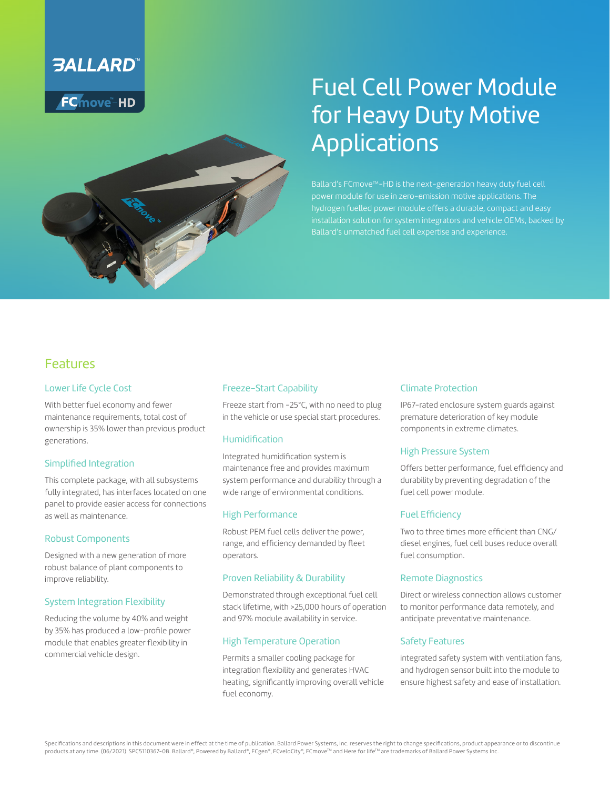

**FC**move-HD



# Fuel Cell Power Module for Heavy Duty Motive Applications

Ballard's FCmove™-HD is the next-generation heavy duty fuel cell power module for use in zero-emission motive applications. The hydrogen fuelled power module offers a durable, compact and easy installation solution for system integrators and vehicle OEMs, backed by Ballard's unmatched fuel cell expertise and experience.

### Features

#### Lower Life Cycle Cost

With better fuel economy and fewer maintenance requirements, total cost of ownership is 35% lower than previous product generations.

#### Simplified Integration

This complete package, with all subsystems fully integrated, has interfaces located on one panel to provide easier access for connections as well as maintenance.

#### Robust Components

Designed with a new generation of more robust balance of plant components to improve reliability.

#### System Integration Flexibility

Reducing the volume by 40% and weight by 35% has produced a low-profile power module that enables greater flexibility in commercial vehicle design.

#### Freeze-Start Capability

Freeze start from -25°C, with no need to plug in the vehicle or use special start procedures.

#### Humidification

Integrated humidification system is maintenance free and provides maximum system performance and durability through a wide range of environmental conditions.

#### High Performance

Robust PEM fuel cells deliver the power, range, and efficiency demanded by fleet operators.

#### Proven Reliability & Durability

Demonstrated through exceptional fuel cell stack lifetime, with >25,000 hours of operation and 97% module availability in service.

#### High Temperature Operation

Permits a smaller cooling package for integration flexibility and generates HVAC heating, significantly improving overall vehicle fuel economy.

#### Climate Protection

IP67-rated enclosure system guards against premature deterioration of key module components in extreme climates.

#### High Pressure System

Offers better performance, fuel efficiency and durability by preventing degradation of the fuel cell power module.

#### Fuel Efficiency

Two to three times more efficient than CNG/ diesel engines, fuel cell buses reduce overall fuel consumption.

#### Remote Diagnostics

Direct or wireless connection allows customer to monitor performance data remotely, and anticipate preventative maintenance.

#### Safety Features

integrated safety system with ventilation fans, and hydrogen sensor built into the module to ensure highest safety and ease of installation.